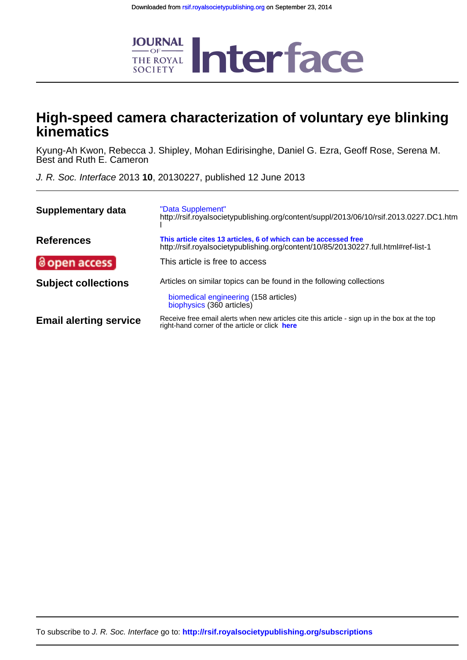

## **kinematics High-speed camera characterization of voluntary eye blinking**

Best and Ruth E. Cameron Kyung-Ah Kwon, Rebecca J. Shipley, Mohan Edirisinghe, Daniel G. Ezra, Geoff Rose, Serena M.

J. R. Soc. Interface 2013 **10**, 20130227, published 12 June 2013

| Supplementary data            | "Data Supplement"<br>http://rsif.royalsocietypublishing.org/content/suppl/2013/06/10/rsif.2013.0227.DC1.htm                                           |
|-------------------------------|-------------------------------------------------------------------------------------------------------------------------------------------------------|
| <b>References</b>             | This article cites 13 articles, 6 of which can be accessed free<br>http://rsif.royalsocietypublishing.org/content/10/85/20130227.full.html#ref-list-1 |
| @open access                  | This article is free to access                                                                                                                        |
| <b>Subject collections</b>    | Articles on similar topics can be found in the following collections<br>biomedical engineering (158 articles)<br>biophysics (360 articles)            |
| <b>Email alerting service</b> | Receive free email alerts when new articles cite this article - sign up in the box at the top<br>right-hand corner of the article or click here       |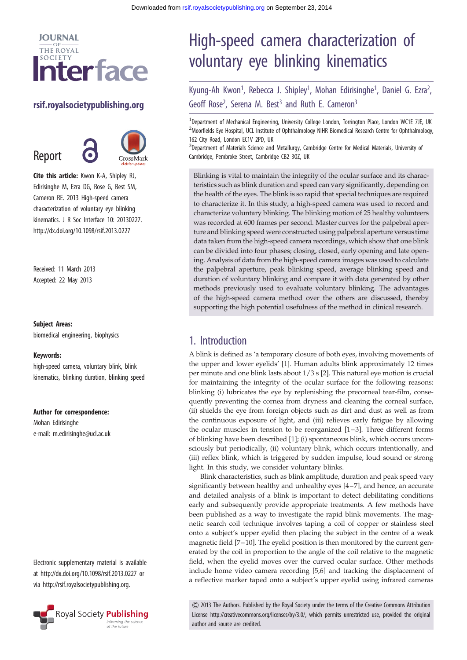

#### rsif.royalsocietypublishing.org

Report



Cite this article: Kwon K-A, Shipley RJ, Edirisinghe M, Ezra DG, Rose G, Best SM, Cameron RE. 2013 High-speed camera characterization of voluntary eye blinking kinematics. J R Soc Interface 10: 20130227. http://dx.doi.org/10.1098/rsif.2013.0227

Received: 11 March 2013 Accepted: 22 May 2013

#### Subject Areas:

biomedical engineering, biophysics

#### Keywords:

high-speed camera, voluntary blink, blink kinematics, blinking duration, blinking speed

#### Author for correspondence:

Mohan Edirisinghe e-mail: [m.edirisinghe@ucl.ac.uk](mailto:m.edirisinghe@ucl.ac.uk)

Electronic supplementary material is available at<http://dx.doi.org/10.1098/rsif.2013.0227> or via<http://rsif.royalsocietypublishing.org>.



# High-speed camera characterization of voluntary eye blinking kinematics

Kyung-Ah Kwon<sup>1</sup>, Rebecca J. Shipley<sup>1</sup>, Mohan Edirisinghe<sup>1</sup>, Daniel G. Ezra<sup>2</sup> .<br>, Geoff Rose<sup>2</sup>, Serena M. Best<sup>3</sup> and Ruth E. Cameron<sup>3</sup>

<sup>1</sup>Department of Mechanical Engineering, University College London, Torrington Place, London WC1E 7JE, UK <sup>2</sup>Moorfields Eye Hospital, UCL Institute of Ophthalmology NIHR Biomedical Research Centre for Ophthalmology, 162 City Road, London EC1V 2PD, UK

<sup>3</sup>Department of Materials Science and Metallurgy, Cambridge Centre for Medical Materials, University of Cambridge, Pembroke Street, Cambridge CB2 3QZ, UK

Blinking is vital to maintain the integrity of the ocular surface and its characteristics such as blink duration and speed can vary significantly, depending on the health of the eyes. The blink is so rapid that special techniques are required to characterize it. In this study, a high-speed camera was used to record and characterize voluntary blinking. The blinking motion of 25 healthy volunteers was recorded at 600 frames per second. Master curves for the palpebral aperture and blinking speed were constructed using palpebral aperture versus time data taken from the high-speed camera recordings, which show that one blink can be divided into four phases; closing, closed, early opening and late opening. Analysis of data from the high-speed camera images was used to calculate the palpebral aperture, peak blinking speed, average blinking speed and duration of voluntary blinking and compare it with data generated by other methods previously used to evaluate voluntary blinking. The advantages of the high-speed camera method over the others are discussed, thereby supporting the high potential usefulness of the method in clinical research.

### 1. Introduction

A blink is defined as 'a temporary closure of both eyes, involving movements of the upper and lower eyelids' [\[1\]](#page-5-0). Human adults blink approximately 12 times per minute and one blink lasts about 1/3 s [[2](#page-5-0)]. This natural eye motion is crucial for maintaining the integrity of the ocular surface for the following reasons: blinking (i) lubricates the eye by replenishing the precorneal tear-film, consequently preventing the cornea from dryness and cleaning the corneal surface, (ii) shields the eye from foreign objects such as dirt and dust as well as from the continuous exposure of light, and (iii) relieves early fatigue by allowing the ocular muscles in tension to be reorganized [\[1](#page-5-0) –[3\]](#page-5-0). Three different forms of blinking have been described [\[1\]](#page-5-0); (i) spontaneous blink, which occurs unconsciously but periodically, (ii) voluntary blink, which occurs intentionally, and (iii) reflex blink, which is triggered by sudden impulse, loud sound or strong light. In this study, we consider voluntary blinks.

Blink characteristics, such as blink amplitude, duration and peak speed vary significantly between healthy and unhealthy eyes [[4](#page-5-0)–[7\]](#page-6-0), and hence, an accurate and detailed analysis of a blink is important to detect debilitating conditions early and subsequently provide appropriate treatments. A few methods have been published as a way to investigate the rapid blink movements. The magnetic search coil technique involves taping a coil of copper or stainless steel onto a subject's upper eyelid then placing the subject in the centre of a weak magnetic field [\[7](#page-6-0) –[10\]](#page-6-0). The eyelid position is then monitored by the current generated by the coil in proportion to the angle of the coil relative to the magnetic field, when the eyelid moves over the curved ocular surface. Other methods include home video camera recording [\[5,6\]](#page-5-0) and tracking the displacement of a reflective marker taped onto a subject's upper eyelid using infrared cameras

& 2013 The Authors. Published by the Royal Society under the terms of the Creative Commons Attribution License http://creativecommons.org/licenses/by/3.0/, which permits unrestricted use, provided the original author and source are credited.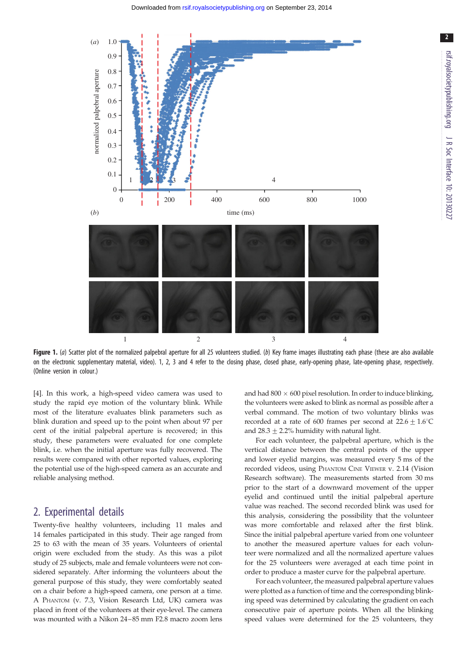<span id="page-2-0"></span>

Figure 1. (a) Scatter plot of the normalized palpebral aperture for all 25 volunteers studied. (b) Key frame images illustrating each phase (these are also available on the electronic supplementary material, video). 1, 2, 3 and 4 refer to the closing phase, closed phase, early-opening phase, late-opening phase, respectively. (Online version in colour.)

[\[4\]](#page-5-0). In this work, a high-speed video camera was used to study the rapid eye motion of the voluntary blink. While most of the literature evaluates blink parameters such as blink duration and speed up to the point when about 97 per cent of the initial palpebral aperture is recovered; in this study, these parameters were evaluated for one complete blink, i.e. when the initial aperture was fully recovered. The results were compared with other reported values, exploring the potential use of the high-speed camera as an accurate and reliable analysing method.

#### 2. Experimental details

Twenty-five healthy volunteers, including 11 males and 14 females participated in this study. Their age ranged from 25 to 63 with the mean of 35 years. Volunteers of oriental origin were excluded from the study. As this was a pilot study of 25 subjects, male and female volunteers were not considered separately. After informing the volunteers about the general purpose of this study, they were comfortably seated on a chair before a high-speed camera, one person at a time. A PHANTOM (v. 7.3, Vision Research Ltd, UK) camera was placed in front of the volunteers at their eye-level. The camera was mounted with a Nikon 24–85 mm F2.8 macro zoom lens

and had  $800 \times 600$  pixel resolution. In order to induce blinking, the volunteers were asked to blink as normal as possible after a verbal command. The motion of two voluntary blinks was recorded at a rate of 600 frames per second at  $22.6 \pm 1.6^{\circ}C$ and  $28.3 + 2.2%$  humidity with natural light.

For each volunteer, the palpebral aperture, which is the vertical distance between the central points of the upper and lower eyelid margins, was measured every 5 ms of the recorded videos, using PHANTOM CINE VIEWER v. 2.14 (Vision Research software). The measurements started from 30 ms prior to the start of a downward movement of the upper eyelid and continued until the initial palpebral aperture value was reached. The second recorded blink was used for this analysis, considering the possibility that the volunteer was more comfortable and relaxed after the first blink. Since the initial palpebral aperture varied from one volunteer to another the measured aperture values for each volunteer were normalized and all the normalized aperture values for the 25 volunteers were averaged at each time point in order to produce a master curve for the palpebral aperture.

For each volunteer, the measured palpebral aperture values were plotted as a function of time and the corresponding blinking speed was determined by calculating the gradient on each consecutive pair of aperture points. When all the blinking speed values were determined for the 25 volunteers, they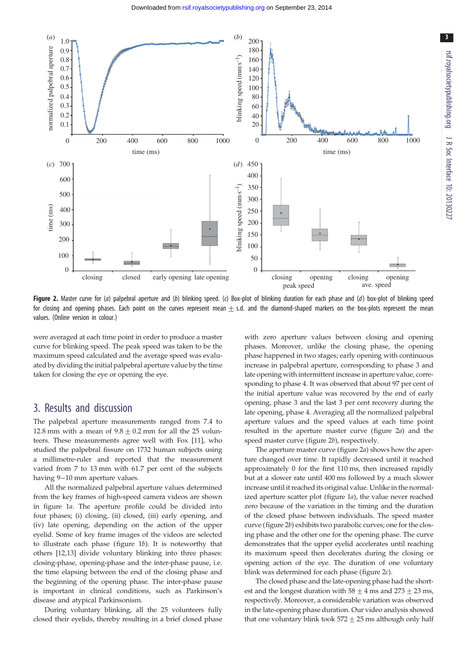<span id="page-3-0"></span>

Figure 2. Master curve for (a) palpebral aperture and (b) blinking speed. (c) Box-plot of blinking duration for each phase and (d) box-plot of blinking speed for closing and opening phases. Each point on the curves represent mean  $\pm$  s.d. and the diamond-shaped markers on the box-plots represent the mean values. (Online version in colour.)

were averaged at each time point in order to produce a master curve for blinking speed. The peak speed was taken to be the maximum speed calculated and the average speed was evaluated by dividing the initial palpebral aperture value by the time taken for closing the eye or opening the eye.

#### 3. Results and discussion

The palpebral aperture measurements ranged from 7.4 to 12.8 mm with a mean of  $9.8 + 0.2$  mm for all the 25 volunteers. These measurements agree well with Fox [\[11](#page-6-0)], who studied the palpebral fissure on 1732 human subjects using a millimetre-ruler and reported that the measurement varied from 7 to 13 mm with 61.7 per cent of the subjects having 9–10 mm aperture values.

All the normalized palpebral aperture values determined from the key frames of high-speed camera videos are shown in [figure 1](#page-2-0)a. The aperture profile could be divided into four phases; (i) closing, (ii) closed, (iii) early opening, and (iv) late opening, depending on the action of the upper eyelid. Some of key frame images of the videos are selected to illustrate each phase (figure  $1b$ ). It is noteworthy that others [\[12,13](#page-6-0)] divide voluntary blinking into three phases: closing-phase, opening-phase and the inter-phase pause, i.e. the time elapsing between the end of the closing phase and the beginning of the opening phase. The inter-phase pause is important in clinical conditions, such as Parkinson's disease and atypical Parkinsonism.

During voluntary blinking, all the 25 volunteers fully closed their eyelids, thereby resulting in a brief closed phase with zero aperture values between closing and opening phases. Moreover, unlike the closing phase, the opening phase happened in two stages; early opening with continuous increase in palpebral aperture, corresponding to phase 3 and late opening with intermittent increase in aperture value, corresponding to phase 4. It was observed that about 97 per cent of the initial aperture value was recovered by the end of early opening, phase 3 and the last 3 per cent recovery during the late opening, phase 4. Averaging all the normalized palpebral aperture values and the speed values at each time point resulted in the aperture master curve (figure 2a) and the speed master curve (figure 2b), respectively.

The aperture master curve (figure 2a) shows how the aperture changed over time. It rapidly decreased until it reached approximately 0 for the first 110 ms, then increased rapidly but at a slower rate until 400 ms followed by a much slower increase until it reached its original value. Unlike in the normalized aperture scatter plot [\(figure 1](#page-2-0)a), the value never reached zero because of the variation in the timing and the duration of the closed phase between individuals. The speed master curve (figure 2b) exhibits two parabolic curves; one for the closing phase and the other one for the opening phase. The curve demonstrates that the upper eyelid accelerates until reaching its maximum speed then decelerates during the closing or opening action of the eye. The duration of one voluntary blink was determined for each phase (figure 2c).

The closed phase and the late-opening phase had the shortest and the longest duration with  $58 + 4$  ms and  $273 + 23$  ms, respectively. Moreover, a considerable variation was observed in the late-opening phase duration. Our video analysis showed that one voluntary blink took  $572 + 25$  ms although only half 3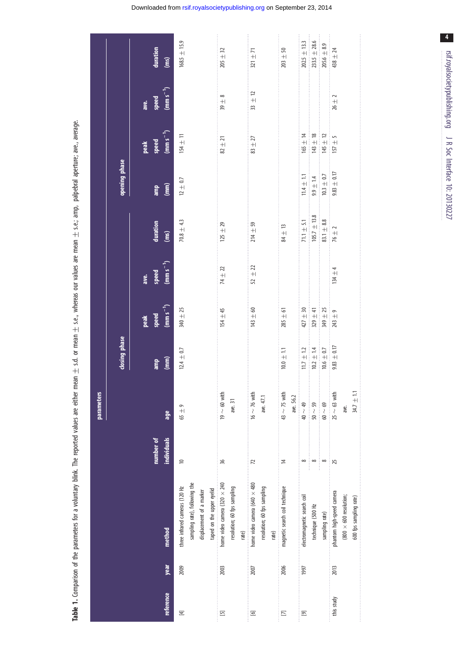| j<br>ì<br>١<br>ċ<br>¢                      |
|--------------------------------------------|
| $\mathsf{I}$                               |
|                                            |
| j<br>í<br>ś<br>j<br>i<br>÷,<br>ś           |
| amp.                                       |
| :<br>֧֦֦֦֝֝֝֝׆֧<br>֧֧֪֪֪֪֪֪֦֓֩֓֓<br>a<br>J |
| $\frac{1}{1}$<br>$\overline{1}$<br>מר<br>מ |
| $\equiv$ $\equiv$<br>í                     |
|                                            |
| ֜֓֕֜֝                                      |
| ነር ያር                                      |
| Ş<br>i                                     |
| ;<br>;<br>- <br>$\frac{a}{1}$              |
|                                            |
| mon<br>ie<br>Tu                            |
|                                            |
| $\frac{1}{2}$ , $\frac{1}{2}$              |
| ncom<br>ē                                  |
| $\frac{1}{3}$<br>j                         |
| م<br>م                                     |
|                                            |
| i                                          |
| Š<br>֕<br>1                                |
| ś<br>$\frac{1}{2}$<br>ì                    |
| ì<br>S<br>ׇ֚֘֡                             |
| ş<br>Ò<br>t<br>Ï<br>:<br>5                 |
| ĭ<br>¢<br>ś                                |
| $\ddot{\phantom{a}}$<br>֚֕֡֡<br>ì          |
| i<br>֦<br>Í<br>í                           |
| Ó                                          |
|                                            |
| S<br>Ó<br>١<br>j                           |
| i<br>i<br>Ş                                |
|                                            |
| t<br>l<br>ş<br>ï                           |
| 7<br>l                                     |

<span id="page-4-0"></span>

|                          |      |                                                                                                           |                           | parameters                                |                                                    |                                        |                                |                                                    |                                                 |                                            |                                                                |                                                             |
|--------------------------|------|-----------------------------------------------------------------------------------------------------------|---------------------------|-------------------------------------------|----------------------------------------------------|----------------------------------------|--------------------------------|----------------------------------------------------|-------------------------------------------------|--------------------------------------------|----------------------------------------------------------------|-------------------------------------------------------------|
|                          |      |                                                                                                           |                           |                                           | closing phase                                      |                                        |                                |                                                    | opening phase                                   |                                            |                                                                |                                                             |
| reference                | year | method                                                                                                    | individuals<br>number of  | age                                       | $\binom{m}{k}$<br>amp                              | $(mm s-1)$<br>speed<br>peak            | $(mm s^{-1})$<br>speed<br>ave. | duration<br>(ms)                                   | $\binom{m}{m}$<br>amp                           | $(mm s-1)$<br>speed<br>peak                | $\frac{\text{m}}{\text{m}}$ s <sup>-1</sup> )<br>speed<br>ave. | duration<br>(ms)                                            |
| $\Xi$                    | 2009 | sampling rate), following the<br>three infrared cameras (120 Hz<br>displacement of a marker               | $\approx$                 | $65 + 9$                                  | $12.4\,\pm\,0.7$                                   | 340 ± 25                               |                                | $70.8 \pm 4.3$                                     | $12\,\pm\,0.7$                                  | $154\pm11$                                 |                                                                | $168.5 \pm 15.9$                                            |
| $\boxed{5}$              | 2003 | home video camera $(320 \times 240)$<br>resolution; 60 fps sampling<br>taped on the upper eyelid<br>rate) | 36                        | $19 \sim 60$ with<br>ave. 31              |                                                    | $154\pm45$                             | $74\,\pm\,22$                  | $125\,\pm\,29$                                     |                                                 | $82\,\pm\,21$                              | $39 \pm 8$                                                     | $205\,\pm\,32$                                              |
| $\Xi$                    | 2007 | home video camera (640 $\times$ 480<br>resolution; 60 fps sampling<br>rate)                               | 72                        | $16 \sim 76$ with<br>ave. 47.1            |                                                    | $143 + 60$                             | 52 $\pm$ 22                    | $214 + 59$                                         |                                                 | $83\,\pm\,27$                              | $33 \pm 12$                                                    | $321 + 71$                                                  |
| $\mathbf{E}$             | 2006 | magnetic search coil technique                                                                            | $\overline{4}$            | $43 \sim 75$ with<br>ave. 56.2            | $10.0\,\pm\,1.1$                                   | $285 \pm 61$                           |                                | $84\pm13$                                          |                                                 |                                            |                                                                | $203\,\pm\,50$                                              |
| $\overline{\mathcal{D}}$ | 1997 | electromagnetic search coil<br>technique (500 Hz<br>sampling rate)                                        | ∞<br>$\infty$<br>$\infty$ | $40 \sim 49$<br>$50\sim59$<br>$60\sim69$  | $10.2 \pm 1.4$<br>$10.6\,\pm\,0.7$<br>$11.7\pm1.2$ | $427\pm30$<br>$329 \pm 41$<br>349 ± 25 |                                | $105.7\pm13.8$<br>$71.1 \pm 5.1$<br>$83.1 \pm 8.8$ | $11.4\pm1.1$<br>$10.3\,\pm\,0.7$<br>$9.9\pm1.4$ | $143 \pm 18$<br>$165 + 14$<br>$145 \pm 12$ |                                                                | $202.5 \pm 13.3$<br>$233.5\,\pm\,28.6$<br>$205.6\,\pm\,8.9$ |
| this study               | 2013 | phantom high-speed camera<br>$(800 \times 600$ resolution;<br>600 fps sampling rate)                      | 52                        | $34.7\pm1.1$<br>$25 \sim 63$ with<br>ave. | $9.83\,\pm\,0.17$                                  | 243 $\pm$ 9                            | 134 $\pm$ 4                    | $76 \pm 2$                                         | $9.83\,\pm\,0.17$                               | $157\pm5$                                  | $26\,\pm 2$                                                    | 438 $\pm$ 24                                                |

 $\overline{4}$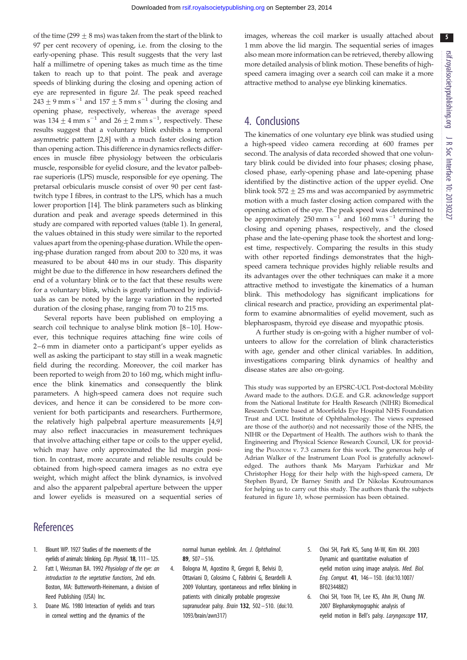5

<span id="page-5-0"></span>of the time (299  $\pm$  8 ms) was taken from the start of the blink to 97 per cent recovery of opening, i.e. from the closing to the early-opening phase. This result suggests that the very last half a millimetre of opening takes as much time as the time taken to reach up to that point. The peak and average speeds of blinking during the closing and opening action of eye are represented in [figure 2](#page-3-0)d. The peak speed reached  $243 \pm 9$  mm s<sup>-1</sup> and  $157 \pm 5$  mm s<sup>-1</sup> during the closing and opening phase, respectively, whereas the average speed was  $134 \pm 4$  mm s<sup>-1</sup> and  $26 \pm 2$  mm s<sup>-1</sup>, respectively. These results suggest that a voluntary blink exhibits a temporal asymmetric pattern [2[,8](#page-6-0)] with a much faster closing action than opening action. This difference in dynamics reflects differences in muscle fibre physiology between the orbicularis muscle, responsible for eyelid closure, and the levator palbebrae superioris (LPS) muscle, responsible for eye opening. The pretarsal orbicularis muscle consist of over 90 per cent fasttwitch type I fibres, in contrast to the LPS, which has a much lower proportion [\[14](#page-6-0)]. The blink parameters such as blinking duration and peak and average speeds determined in this study are compared with reported values [\(table 1\)](#page-4-0). In general, the values obtained in this study were similar to the reported values apart from the opening-phase duration. While the opening-phase duration ranged from about 200 to 320 ms, it was measured to be about 440 ms in our study. This disparity might be due to the difference in how researchers defined the end of a voluntary blink or to the fact that these results were for a voluntary blink, which is greatly influenced by individuals as can be noted by the large variation in the reported duration of the closing phase, ranging from 70 to 215 ms.

Several reports have been published on employing a search coil technique to analyse blink motion [[8](#page-6-0)–[10](#page-6-0)]. However, this technique requires attaching fine wire coils of 2–6 mm in diameter onto a participant's upper eyelids as well as asking the participant to stay still in a weak magnetic field during the recording. Moreover, the coil marker has been reported to weigh from 20 to 160 mg, which might influence the blink kinematics and consequently the blink parameters. A high-speed camera does not require such devices, and hence it can be considered to be more convenient for both participants and researchers. Furthermore, the relatively high palpebral aperture measurements [4[,9\]](#page-6-0) may also reflect inaccuracies in measurement techniques that involve attaching either tape or coils to the upper eyelid, which may have only approximated the lid margin position. In contrast, more accurate and reliable results could be obtained from high-speed camera images as no extra eye weight, which might affect the blink dynamics, is involved and also the apparent palpebral aperture between the upper and lower eyelids is measured on a sequential series of

images, whereas the coil marker is usually attached about 1 mm above the lid margin. The sequential series of images also mean more information can be retrieved, thereby allowing more detailed analysis of blink motion. These benefits of highspeed camera imaging over a search coil can make it a more attractive method to analyse eye blinking kinematics.

## 4. Conclusions

The kinematics of one voluntary eye blink was studied using a high-speed video camera recording at 600 frames per second. The analysis of data recorded showed that one voluntary blink could be divided into four phases; closing phase, closed phase, early-opening phase and late-opening phase identified by the distinctive action of the upper eyelid. One blink took  $572 + 25$  ms and was accompanied by asymmetric motion with a much faster closing action compared with the opening action of the eye. The peak speed was determined to be approximately  $250$  mm s<sup>-1</sup> and  $160$  mm s<sup>-1</sup> during the closing and opening phases, respectively, and the closed phase and the late-opening phase took the shortest and longest time, respectively. Comparing the results in this study with other reported findings demonstrates that the highspeed camera technique provides highly reliable results and its advantages over the other techniques can make it a more attractive method to investigate the kinematics of a human blink. This methodology has significant implications for clinical research and practice, providing an experimental platform to examine abnormalities of eyelid movement, such as blepharospasm, thyroid eye disease and myopathic ptosis.

A further study is on-going with a higher number of volunteers to allow for the correlation of blink characteristics with age, gender and other clinical variables. In addition, investigations comparing blink dynamics of healthy and disease states are also on-going.

This study was supported by an EPSRC-UCL Post-doctoral Mobility Award made to the authors. D.G.E. and G.R. acknowledge support from the National Institute for Health Research (NIHR) Biomedical Research Centre based at Moorfields Eye Hospital NHS Foundation Trust and UCL Institute of Ophthalmology. The views expressed are those of the author(s) and not necessarily those of the NHS, the NIHR or the Department of Health. The authors wish to thank the Engineering and Physical Science Research Council, UK for providing the PHANTOM v. 7.3 camera for this work. The generous help of Adrian Walker of the Instrument Loan Pool is gratefully acknowledged. The authors thank Ms Maryam Parhizkar and Mr Christopher Hogg for their help with the high-speed camera, Dr Stephen Byard, Dr Barney Smith and Dr Nikolas Koutroumanos for helping us to carry out this study. The authors thank the subjects featured in [figure 1](#page-2-0)b, whose permission has been obtained.

## **References**

- 1. Blount WP. 1927 Studies of the movements of the eyelids of animals: blinking. Exp. Physiol. **18**, 111 - 125.
- 2. Fatt I, Weissman BA. 1992 Physiology of the eye: an introduction to the vegetative functions, 2nd edn. Boston, MA: Butterworth-Heinemann, a division of Reed Publishing (USA) Inc.
- 3. Doane MG. 1980 Interaction of eyelids and tears in corneal wetting and the dynamics of the

normal human eyeblink. Am. J. Ophthalmol. 89, 507– 516.

- 4. Bologna M, Agostino R, Gregori B, Belvisi D, Ottaviani D, Colosimo C, Fabbrini G, Berardelli A. 2009 Voluntary, spontaneous and reflex blinking in patients with clinically probable progressive supranuclear palsy. *Brain* **132**, 502 - 510. ([doi:10.](http://dx.doi.org/10.1093/brain/awn317) [1093/brain/awn317\)](http://dx.doi.org/10.1093/brain/awn317)
- 5. Choi SH, Park KS, Sung M-W, Kim KH. 2003 Dynamic and quantitative evaluation of eyelid motion using image analysis. Med. Biol. Eng. Comput. 41, 146– 150. [\(doi:10.1007/](http://dx.doi.org/10.1007/BF02344882) [BF02344882](http://dx.doi.org/10.1007/BF02344882))
- 6. Choi SH, Yoon TH, Lee KS, Ahn JH, Chung JW. 2007 Blepharokymographic analysis of eyelid motion in Bell's palsy. Laryngoscope 117,